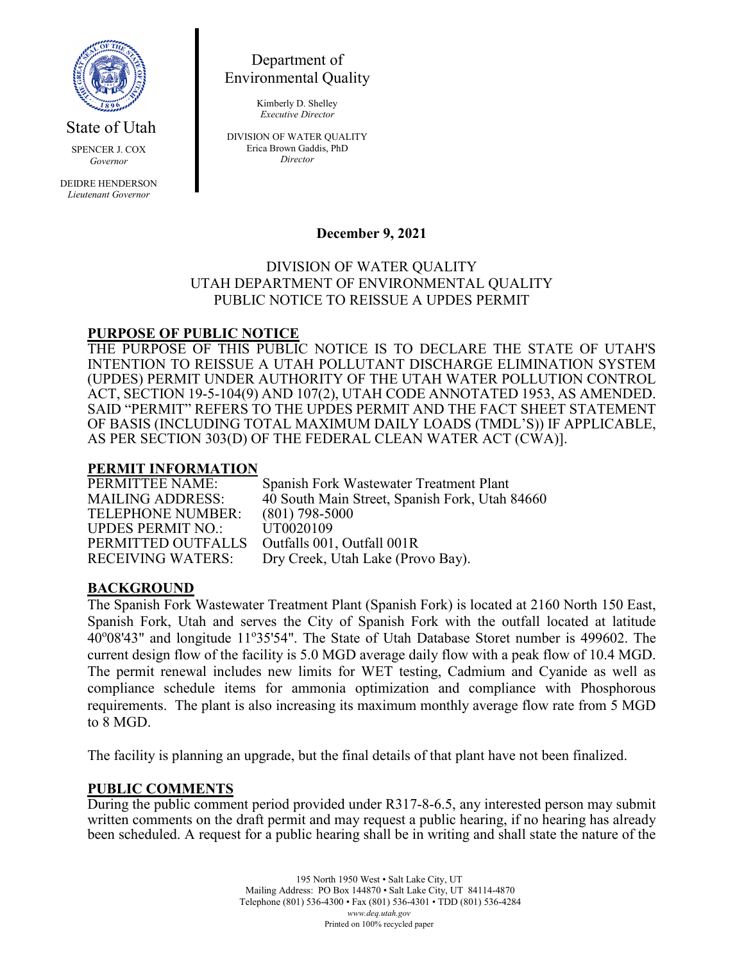

State of Utah

SPENCER J. COX *Governor*

DEIDRE HENDERSON *Lieutenant Governor*

Department of Environmental Quality

> Kimberly D. Shelley *Executive Director*

DIVISION OF WATER QUALITY Erica Brown Gaddis, PhD *Director*

## **December 9, 2021**

### DIVISION OF WATER QUALITY UTAH DEPARTMENT OF ENVIRONMENTAL QUALITY PUBLIC NOTICE TO REISSUE A UPDES PERMIT

## **PURPOSE OF PUBLIC NOTICE**

THE PURPOSE OF THIS PUBLIC NOTICE IS TO DECLARE THE STATE OF UTAH'S INTENTION TO REISSUE A UTAH POLLUTANT DISCHARGE ELIMINATION SYSTEM (UPDES) PERMIT UNDER AUTHORITY OF THE UTAH WATER POLLUTION CONTROL ACT, SECTION 19-5-104(9) AND 107(2), UTAH CODE ANNOTATED 1953, AS AMENDED. SAID "PERMIT" REFERS TO THE UPDES PERMIT AND THE FACT SHEET STATEMENT OF BASIS (INCLUDING TOTAL MAXIMUM DAILY LOADS (TMDL'S)) IF APPLICABLE, AS PER SECTION 303(D) OF THE FEDERAL CLEAN WATER ACT (CWA)].

# **PERMIT INFORMATION**

TELEPHONE NUMBER: (801) 798-50<br>UPDES PERMIT NO.: UT0020109 UPDES PERMIT NO.: UT0020109<br>PERMITTED OUTFALLS Outfalls 001, Outfall 001R PERMITTED OUTFALLS

Spanish Fork Wastewater Treatment Plant MAILING ADDRESS: 40 South Main Street, Spanish Fork, Utah 84660<br>TELEPHONE NUMBER: (801) 798-5000 RECEIVING WATERS: Dry Creek, Utah Lake (Provo Bay).

## **BACKGROUND**

The Spanish Fork Wastewater Treatment Plant (Spanish Fork) is located at 2160 North 150 East, Spanish Fork, Utah and serves the City of Spanish Fork with the outfall located at latitude 40°08'43" and longitude 11°35'54". The State of Utah Database Storet number is 499602. The current design flow of the facility is 5.0 MGD average daily flow with a peak flow of 10.4 MGD. The permit renewal includes new limits for WET testing, Cadmium and Cyanide as well as compliance schedule items for ammonia optimization and compliance with Phosphorous requirements. The plant is also increasing its maximum monthly average flow rate from 5 MGD to 8 MGD.

The facility is planning an upgrade, but the final details of that plant have not been finalized.

### **PUBLIC COMMENTS**

During the public comment period provided under R317-8-6.5, any interested person may submit written comments on the draft permit and may request a public hearing, if no hearing has already been scheduled. A request for a public hearing shall be in writing and shall state the nature of the